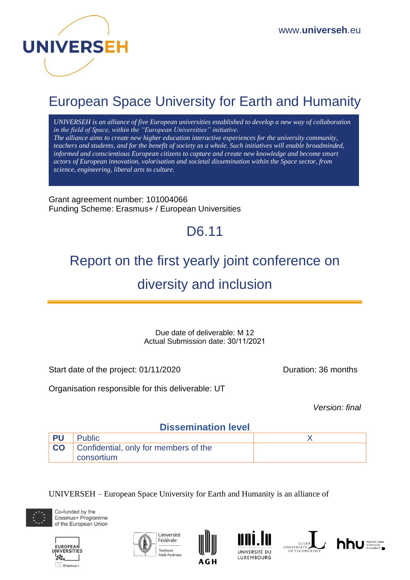

# European Space University for Earth and Humanity

*UNIVERSEH is an alliance of five European universities established to develop a new way of collaboration in the field of Space, within the "European Universities" initiative. The alliance aims to create new higher education interactive experiences for the university community, teachers and students, and for the benefit of society as a whole. Such initiatives will enable broadminded, informed and conscientious European citizens to capture and create new knowledge and become smart actors of European innovation, valorisation and societal dissemination within the Space sector, from science, engineering, liberal arts to culture.*

Grant agreement number: 101004066 Funding Scheme: Erasmus+ / European Universities

# D6.11

# Report on the first yearly joint conference on

# diversity and inclusion

Due date of deliverable: M 12 Actual Submission date: 30/11/2021

Start date of the project: 01/11/2020 Duration: 36 months

Organisation responsible for this deliverable: UT

*Version: final* 

# **Dissemination level**

| <b>PU</b> | Public                                                            |  |
|-----------|-------------------------------------------------------------------|--|
|           | <b>CO</b> Confidential, only for members of the<br>' consortium ∶ |  |
|           |                                                                   |  |

UNIVERSEH – European Space University for Earth and Humanity is an alliance of













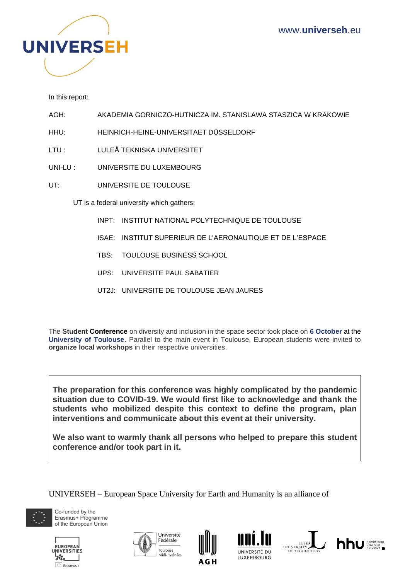

In this report:

AGH: AKADEMIA GORNICZO-HUTNICZA IM. STANISLAWA STASZICA W KRAKOWIE

HHU: HEINRICH-HEINE-UNIVERSITAET DÜSSELDORF

LTU : LULEÅ TEKNISKA UNIVERSITET

UNI-LU : UNIVERSITE DU LUXEMBOURG

UT: UNIVERSITE DE TOULOUSE

UT is a federal university which gathers:

- INPT: INSTITUT NATIONAL POLYTECHNIQUE DE TOULOUSE
- ISAE: INSTITUT SUPERIEUR DE L'AERONAUTIQUE ET DE L'ESPACE
- TBS: TOULOUSE BUSINESS SCHOOL
- UPS: UNIVERSITE PAUL SABATIER
- UT2J: UNIVERSITE DE TOULOUSE JEAN JAURES

The **Student Conference** on diversity and inclusion in the space sector took place on **6 October** at the **University of Toulouse**. Parallel to the main event in Toulouse, European students were invited to **organize local workshops** in their respective universities.

**The preparation for this conference was highly complicated by the pandemic situation due to COVID-19. We would first like to acknowledge and thank the students who mobilized despite this context to define the program, plan interventions and communicate about this event at their university.**

**We also want to warmly thank all persons who helped to prepare this student conference and/or took part in it.**

UNIVERSEH – European Space University for Earth and Humanity is an alliance of













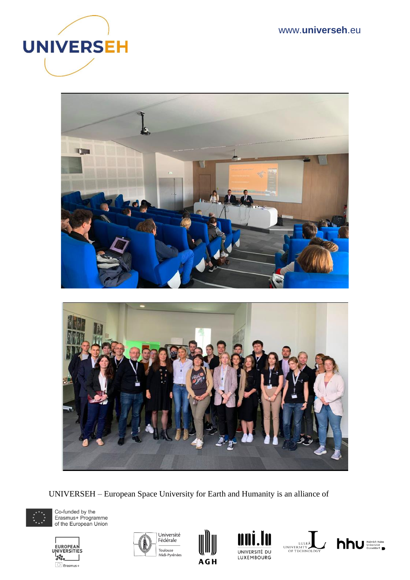



UNIVERSEH – European Space University for Earth and Humanity is an alliance of













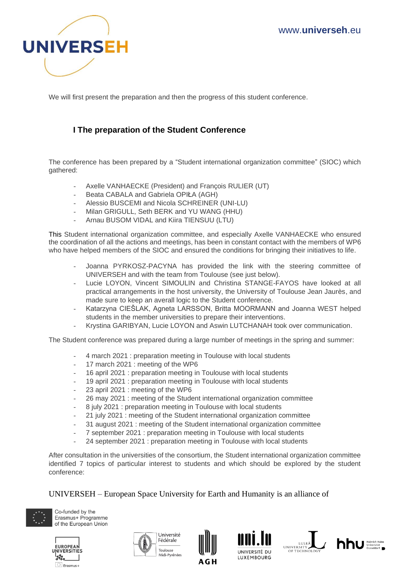

We will first present the preparation and then the progress of this student conference.

## **I The preparation of the Student Conference**

The conference has been prepared by a "Student international organization committee" (SIOC) which gathered:

- Axelle VANHAECKE (President) and François RULIER (UT)
- Beata CABALA and Gabriela OPIŁA (AGH)
- Alessio BUSCEMI and Nicola SCHREINER (UNI-LU)
- Milan GRIGULL, Seth BERK and YU WANG (HHU)
- Arnau BUSOM VIDAL and Kiira TIENSUU (LTU)

This Student international organization committee, and especially Axelle VANHAECKE who ensured the coordination of all the actions and meetings, has been in constant contact with the members of WP6 who have helped members of the SIOC and ensured the conditions for bringing their initiatives to life.

- Joanna PYRKOSZ-PACYNA has provided the link with the steering committee of UNIVERSEH and with the team from Toulouse (see just below).
- Lucie LOYON, Vincent SIMOULIN and Christina STANGE-FAYOS have looked at all practical arrangements in the host university, the University of Toulouse Jean Jaurès, and made sure to keep an averall logic to the Student conference.
- Katarzyna CIEŠLAK, Agneta LARSSON, Britta MOORMANN and Joanna WEST helped students in the member universities to prepare their interventions.
- Krystina GARIBYAN, Lucie LOYON and Aswin LUTCHANAH took over communication.

The Student conference was prepared during a large number of meetings in the spring and summer:

- 4 march 2021 : preparation meeting in Toulouse with local students
- 17 march 2021 : meeting of the WP6
- 16 april 2021 : preparation meeting in Toulouse with local students
- 19 april 2021 : preparation meeting in Toulouse with local students
- 23 april 2021 : meeting of the WP6
- 26 may 2021 : meeting of the Student international organization committee
- 8 july 2021 : preparation meeting in Toulouse with local students
- 21 july 2021 : meeting of the Student international organization committee
- 31 august 2021 : meeting of the Student international organization committee
- 7 september 2021 : preparation meeting in Toulouse with local students
- 24 september 2021 : preparation meeting in Toulouse with local students

After consultation in the universities of the consortium, the Student international organization committee identified 7 topics of particular interest to students and which should be explored by the student conference:

UNIVERSEH – European Space University for Earth and Humanity is an alliance of













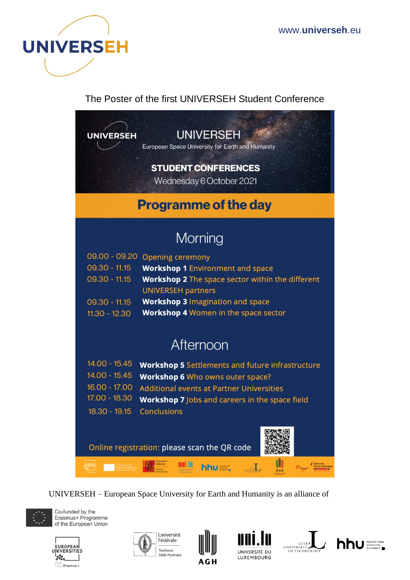

The Poster of the first UNIVERSEH Student Conference

**UNIVERSEH** 

**UNIVERSEH** 

European Space University for Earth and Humanity

# **STUDENT CONFERENCES**

Wednesday 6 October 2021

# **Programme of the day**

# Morning

|                 | 09.00 - 09.20 Opening ceremony                          |
|-----------------|---------------------------------------------------------|
| $09.30 - 11.15$ | <b>Workshop 1 Environment and space</b>                 |
| $09.30 - 11.15$ | <b>Workshop 2</b> The space sector within the different |
|                 | <b>UNIVERSEH partners</b>                               |
| $09.30 - 11.15$ | <b>Workshop 3 Imagination and space</b>                 |
| 11.30 $-19.30$  | <b>Workshon 4 Women in the snace sector</b>             |

# Afternoon

- 14.00 15.45 Workshop 5 Settlements and future infrastructure
- 14.00 15.45 Workshop 6 Who owns outer space?
- 16.00 17.00 **Additional events at Partner Universities**
- 17.00 18.30 **Workshop 7** Jobs and careers in the space field
- 18.30 19.15 Conclusions

Co-hinded by the<br>Emainust Programme

Online registration: please scan the QR code

UNIVERSEH – European Space University for Earth and Humanity is an alliance of

um.lo



Co-funded by the Erasmus+ Programme of the European Union

**UNIVERSITIE** 







hhu=.



 $\Box$ 

III



Prince-Allement

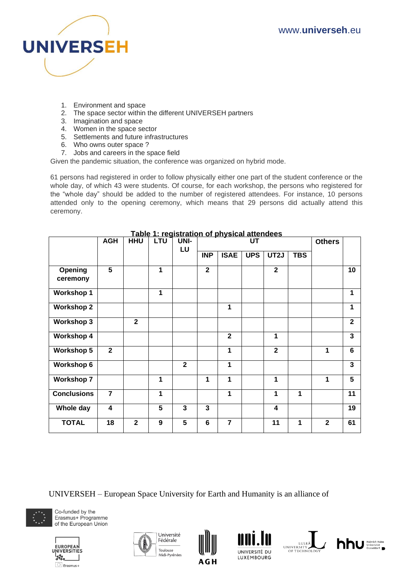

- 1. Environment and space
- 2. The space sector within the different UNIVERSEH partners
- 3. Imagination and space
- 4. Women in the space sector
- 5. Settlements and future infrastructures
- 6. Who owns outer space ?
- 7. Jobs and careers in the space field

Given the pandemic situation, the conference was organized on hybrid mode.

61 persons had registered in order to follow physically either one part of the student conference or the whole day, of which 43 were students. Of course, for each workshop, the persons who registered for the "whole day" should be added to the number of registered attendees. For instance, 10 persons attended only to the opening ceremony, which means that 29 persons did actually attend this ceremony.

|                     | <b>AGH</b>     | <b>HHU</b>     | <b>LTU</b> | UNI-<br>LU     | <b>UT</b>      |                |            | <b>Others</b>           |            |              |                |
|---------------------|----------------|----------------|------------|----------------|----------------|----------------|------------|-------------------------|------------|--------------|----------------|
|                     |                |                |            |                | <b>INP</b>     | <b>ISAE</b>    | <b>UPS</b> | UT2J                    | <b>TBS</b> |              |                |
| Opening<br>ceremony | 5              |                | 1          |                | $\overline{2}$ |                |            | $\overline{\mathbf{2}}$ |            |              | 10             |
| <b>Workshop 1</b>   |                |                | 1          |                |                |                |            |                         |            |              | 1              |
| <b>Workshop 2</b>   |                |                |            |                |                | 1              |            |                         |            |              | 1              |
| <b>Workshop 3</b>   |                | $\overline{2}$ |            |                |                |                |            |                         |            |              | $\mathbf{2}$   |
| <b>Workshop 4</b>   |                |                |            |                |                | $\overline{2}$ |            | 1                       |            |              | $\overline{3}$ |
| <b>Workshop 5</b>   | $\overline{2}$ |                |            |                |                | 1              |            | $\overline{2}$          |            | 1            | 6              |
| <b>Workshop 6</b>   |                |                |            | $\overline{2}$ |                | 1              |            |                         |            |              | $\overline{3}$ |
| <b>Workshop 7</b>   |                |                | 1          |                | 1              | 1              |            | 1                       |            | 1            | 5              |
| <b>Conclusions</b>  | $\overline{7}$ |                | 1          |                |                | 1              |            | 1                       | 1          |              | 11             |
| Whole day           | 4              |                | 5          | $\overline{3}$ | 3              |                |            | 4                       |            |              | 19             |
| <b>TOTAL</b>        | 18             | $\overline{2}$ | 9          | 5              | 6              | $\overline{7}$ |            | 11                      | 1          | $\mathbf{2}$ | 61             |

## **Table 1: registration of physical attendees**

UNIVERSEH – European Space University for Earth and Humanity is an alliance of











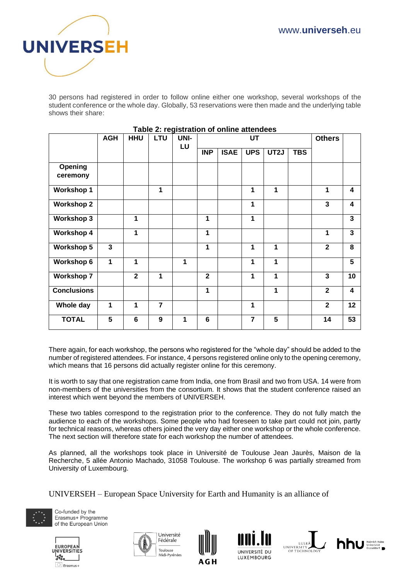

30 persons had registered in order to follow online either one workshop, several workshops of the student conference or the whole day. Globally, 53 reservations were then made and the underlying table shows their share:

|                     | <b>AGH</b>   | <b>HHU</b>   | LTU            | UNI- | . apic L. Tegiotration or online attenueed<br><b>UT</b> |             |                | <b>Others</b> |            |                |                         |
|---------------------|--------------|--------------|----------------|------|---------------------------------------------------------|-------------|----------------|---------------|------------|----------------|-------------------------|
|                     |              |              |                | LU   | <b>INP</b>                                              | <b>ISAE</b> | <b>UPS</b>     | UT2J          | <b>TBS</b> |                |                         |
| Opening<br>ceremony |              |              |                |      |                                                         |             |                |               |            |                |                         |
| <b>Workshop 1</b>   |              |              | 1              |      |                                                         |             | 1              | 1             |            | 1              | $\overline{\mathbf{4}}$ |
| <b>Workshop 2</b>   |              |              |                |      |                                                         |             | 1              |               |            | 3              | 4                       |
| <b>Workshop 3</b>   |              | 1            |                |      | 1                                                       |             | 1              |               |            |                | 3                       |
| <b>Workshop 4</b>   |              | 1            |                |      | 1                                                       |             |                |               |            | 1              | 3                       |
| <b>Workshop 5</b>   | $\mathbf{3}$ |              |                |      | 1                                                       |             | 1              | 1             |            | $\mathbf{2}$   | 8                       |
| <b>Workshop 6</b>   | 1            | 1            |                | 1    |                                                         |             | 1              | 1             |            |                | 5                       |
| <b>Workshop 7</b>   |              | $\mathbf{2}$ | 1              |      | $\overline{2}$                                          |             | 1              | 1             |            | 3              | 10                      |
| <b>Conclusions</b>  |              |              |                |      | 1                                                       |             |                | 1             |            | $\overline{2}$ | $\overline{\mathbf{4}}$ |
| Whole day           | 1            | 1            | $\overline{7}$ |      |                                                         |             | 1              |               |            | $\mathbf{2}$   | 12                      |
| <b>TOTAL</b>        | 5            | 6            | 9              | 1    | 6                                                       |             | $\overline{7}$ | 5             |            | 14             | 53                      |

#### **Table 2: registration of online attendees**

There again, for each workshop, the persons who registered for the "whole day" should be added to the number of registered attendees. For instance, 4 persons registered online only to the opening ceremony, which means that 16 persons did actually register online for this ceremony.

It is worth to say that one registration came from India, one from Brasil and two from USA. 14 were from non-members of the universities from the consortium. It shows that the student conference raised an interest which went beyond the members of UNIVERSEH.

These two tables correspond to the registration prior to the conference. They do not fully match the audience to each of the workshops. Some people who had foreseen to take part could not join, partly for technical reasons, whereas others joined the very day either one workshop or the whole conference. The next section will therefore state for each workshop the number of attendees.

As planned, all the workshops took place in Université de Toulouse Jean Jaurès, Maison de la Recherche, 5 allée Antonio Machado, 31058 Toulouse. The workshop 6 was partially streamed from University of Luxembourg.

UNIVERSEH – European Space University for Earth and Humanity is an alliance of













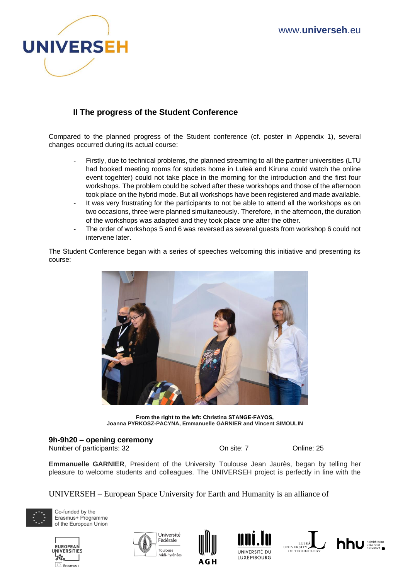

# **II The progress of the Student Conference**

Compared to the planned progress of the Student conference (cf. poster in Appendix 1), several changes occurred during its actual course:

- Firstly, due to technical problems, the planned streaming to all the partner universities (LTU had booked meeting rooms for studets home in Luleå and Kiruna could watch the online event togehter) could not take place in the morning for the introduction and the first four workshops. The problem could be solved after these workshops and those of the afternoon took place on the hybrid mode. But all workshops have been registered and made available.
- It was very frustrating for the participants to not be able to attend all the workshops as on two occasions, three were planned simultaneously. Therefore, in the afternoon, the duration of the workshops was adapted and they took place one after the other.
- The order of workshops 5 and 6 was reversed as several guests from workshop 6 could not intervene later.

The Student Conference began with a series of speeches welcoming this initiative and presenting its course:



**From the right to the left: Christina STANGE-FAYOS, Joanna PYRKOSZ-PACYNA, Emmanuelle GARNIER and Vincent SIMOULIN**

## **9h-9h20 – opening ceremony**

Number of participants: 32 On site: 7 Online: 25

**Emmanuelle GARNIER**, President of the University Toulouse Jean Jaurès, began by telling her pleasure to welcome students and colleagues. The UNIVERSEH project is perfectly in line with the

UNIVERSEH – European Space University for Earth and Humanity is an alliance of











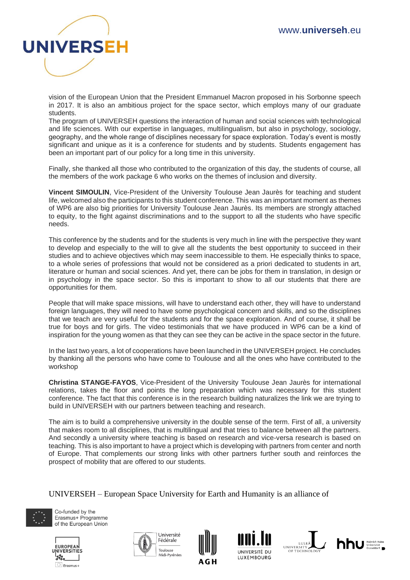

vision of the European Union that the President Emmanuel Macron proposed in his Sorbonne speech in 2017. It is also an ambitious project for the space sector, which employs many of our graduate students.

The program of UNIVERSEH questions the interaction of human and social sciences with technological and life sciences. With our expertise in languages, multilingualism, but also in psychology, sociology, geography, and the whole range of disciplines necessary for space exploration. Today's event is mostly significant and unique as it is a conference for students and by students. Students engagement has been an important part of our policy for a long time in this university.

Finally, she thanked all those who contributed to the organization of this day, the students of course, all the members of the work package 6 who works on the themes of inclusion and diversity.

**Vincent SIMOULIN**, Vice-President of the University Toulouse Jean Jaurès for teaching and student life, welcomed also the participants to this student conference. This was an important moment as themes of WP6 are also big priorities for University Toulouse Jean Jaurès. Its members are strongly attached to equity, to the fight against discriminations and to the support to all the students who have specific needs.

This conference by the students and for the students is very much in line with the perspective they want to develop and especially to the will to give all the students the best opportunity to succeed in their studies and to achieve objectives which may seem inaccessible to them. He especially thinks to space, to a whole series of professions that would not be considered as a priori dedicated to students in art, literature or human and social sciences. And yet, there can be jobs for them in translation, in design or in psychology in the space sector. So this is important to show to all our students that there are opportunities for them.

People that will make space missions, will have to understand each other, they will have to understand foreign languages, they will need to have some psychological concern and skills, and so the disciplines that we teach are very useful for the students and for the space exploration. And of course, it shall be true for boys and for girls. The video testimonials that we have produced in WP6 can be a kind of inspiration for the young women as that they can see they can be active in the space sector in the future.

In the last two years, a lot of cooperations have been launched in the UNIVERSEH project. He concludes by thanking all the persons who have come to Toulouse and all the ones who have contributed to the workshop

**Christina STANGE-FAYOS**, Vice-President of the University Toulouse Jean Jaurès for international relations, takes the floor and points the long preparation which was necessary for this student conference. The fact that this conference is in the research building naturalizes the link we are trying to build in UNIVERSEH with our partners between teaching and research.

The aim is to build a comprehensive university in the double sense of the term. First of all, a university that makes room to all disciplines, that is multilingual and that tries to balance between all the partners. And secondly a university where teaching is based on research and vice-versa research is based on teaching. This is also important to have a project which is developing with partners from center and north of Europe. That complements our strong links with other partners further south and reinforces the prospect of mobility that are offered to our students.

UNIVERSEH – European Space University for Earth and Humanity is an alliance of













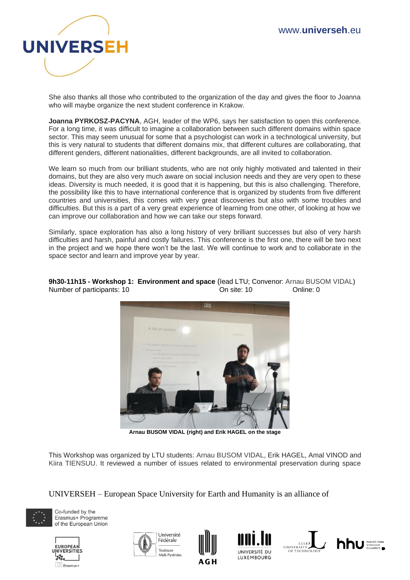

She also thanks all those who contributed to the organization of the day and gives the floor to Joanna who will maybe organize the next student conference in Krakow.

**Joanna PYRKOSZ-PACYNA**, AGH, leader of the WP6, says her satisfaction to open this conference. For a long time, it was difficult to imagine a collaboration between such different domains within space sector. This may seem unusual for some that a psychologist can work in a technological university, but this is very natural to students that different domains mix, that different cultures are collaborating, that different genders, different nationalities, different backgrounds, are all invited to collaboration.

We learn so much from our brilliant students, who are not only highly motivated and talented in their domains, but they are also very much aware on social inclusion needs and they are very open to these ideas. Diversity is much needed, it is good that it is happening, but this is also challenging. Therefore, the possibility like this to have international conference that is organized by students from five different countries and universities, this comes with very great discoveries but also with some troubles and difficulties. But this is a part of a very great experience of learning from one other, of looking at how we can improve our collaboration and how we can take our steps forward.

Similarly, space exploration has also a long history of very brilliant successes but also of very harsh difficulties and harsh, painful and costly failures. This conference is the first one, there will be two next in the project and we hope there won't be the last. We will continue to work and to collaborate in the space sector and learn and improve year by year.



**9h30-11h15 - Workshop 1: Environment and space** (lead LTU; Convenor: Arnau BUSOM VIDAL) Number of participants: 10 On site: 10 Online: 0

**Arnau BUSOM VIDAL (right) and Erik HAGEL on the stage**

This Workshop was organized by LTU students: Arnau BUSOM VIDAL, Erik HAGEL, Amal VINOD and Kiira TIENSUU. It reviewed a number of issues related to environmental preservation during space

UNIVERSEH – European Space University for Earth and Humanity is an alliance of













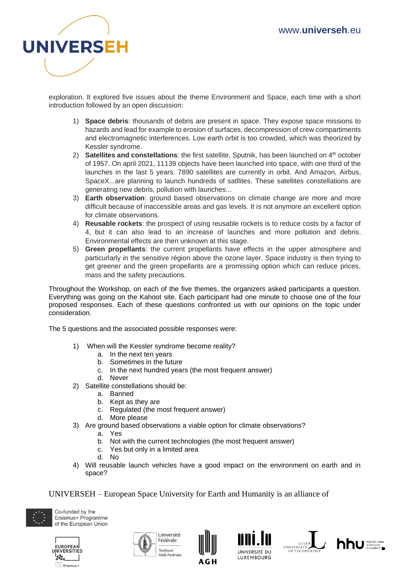

exploration. It explored five issues about the theme Environment and Space, each time with a short introduction followed by an open discussion:

- 1) **Space debris**: thousands of debris are present in space. They expose space missions to hazards and lead for example to erosion of surfaces, decompression of crew compartiments and electromagnetic interferences. Low earth orbit is too crowded, which was theorized by Kessler syndrome.
- 2) **Satellites and constellations**: the first satellite, Sputnik, has been launched on 4<sup>th</sup> october of 1957. On april 2021, 11139 objects have been launched into space, with one third of the launches in the last 5 years. 7890 satellites are currently in orbit. And Amazon, Airbus, SpaceX...are planning to launch hundreds of satllites. These satellites constellations are generating new debris, pollution with launches...
- 3) **Earth observation**: ground based observations on climate change are more and more difficult because of inaccessible areas and gas levels. It is not anymore an excellent option for climate observations.
- 4) **Reusable rockets**: the prospect of using reusable rockets is to reduce costs by a factor of 4, but it can also lead to an increase of launches and more pollution and debris. Environmental effects are then unknown at this stage.
- 5) **Green propellants**: the current propellants have effects in the upper atmosphere and particurlarly in the sensitive région above the ozone layer. Space industry is then trying to get greener and the green propellants are a promissing option which can reduce prices, mass and the safety precautions.

Throughout the Workshop, on each of the five themes, the organizers asked participants a question. Everything was going on the Kahoot site. Each participant had one minute to choose one of the four proposed responses. Each of these questions confronted us with our opinions on the topic under consideration.

The 5 questions and the associated possible responses were:

- 1) When will the Kessler syndrome become reality?
	- a. In the next ten years
	- b. Sometimes in the future
	- c. In the next hundred years (the most frequent answer)
	- d. Never
- 2) Satellite constellations should be:
	- a. Banned
		- b. Kept as they are
		- c. Regulated (the most frequent answer)
		- d. More please
- 3) Are ground based observations a viable option for climate observations?
	- a. Yes
	- b. Not with the current technologies (the most frequent answer)
	- c. Yes but only in a limited area
	- d. No
- 4) Will reusable launch vehicles have a good impact on the environment on earth and in space?

UNIVERSEH – European Space University for Earth and Humanity is an alliance of











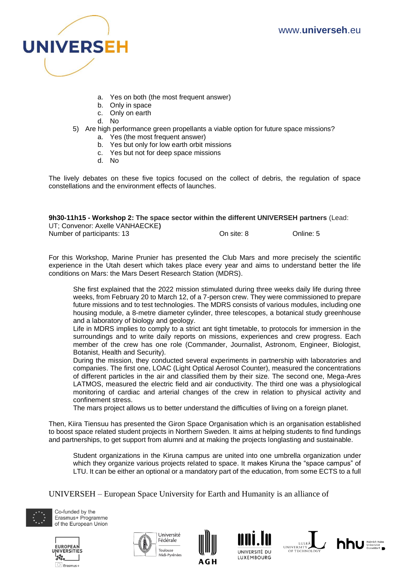

- a. Yes on both (the most frequent answer)
- b. Only in space
- c. Only on earth
- d. No
- 5) Are high performance green propellants a viable option for future space missions?
	- a. Yes (the most frequent answer)
	- b. Yes but only for low earth orbit missions
	- c. Yes but not for deep space missions
	- d. No

The lively debates on these five topics focused on the collect of debris, the regulation of space constellations and the environment effects of launches.

## **9h30-11h15 - Workshop 2: The space sector within the different UNIVERSEH partners** (Lead:

| UT; Convenor: Axelle VANHAECKE) |            |           |
|---------------------------------|------------|-----------|
| Number of participants: 13      | On site: 8 | Online: 5 |

For this Workshop, Marine Prunier has presented the Club Mars and more precisely the scientific experience in the Utah desert which takes place every year and aims to understand better the life conditions on Mars: the Mars Desert Research Station (MDRS).

She first explained that the 2022 mission stimulated during three weeks daily life during three weeks, from February 20 to March 12, of a 7-person crew. They were commissioned to prepare future missions and to test technologies. The MDRS consists of various modules, including one housing module, a 8-metre diameter cylinder, three telescopes, a botanical study greenhouse and a laboratory of biology and geology.

Life in MDRS implies to comply to a strict ant tight timetable, to protocols for immersion in the surroundings and to write daily reports on missions, experiences and crew progress. Each member of the crew has one role (Commander, Journalist, Astronom, Engineer, Biologist, Botanist, Health and Security).

During the mission, they conducted several experiments in partnership with laboratories and companies. The first one, LOAC (Light Optical Aerosol Counter), measured the concentrations of different particles in the air and classified them by their size. The second one, Mega-Ares LATMOS, measured the electric field and air conductivity. The third one was a physiological monitoring of cardiac and arterial changes of the crew in relation to physical activity and confinement stress.

The mars project allows us to better understand the difficulties of living on a foreign planet.

Then, Kiira Tiensuu has presented the Giron Space Organisation which is an organisation established to boost space related student projects in Northern Sweden. It aims at helping students to find fundings and partnerships, to get support from alumni and at making the projects longlasting and sustainable.

Student organizations in the Kiruna campus are united into one umbrella organization under which they organize various projects related to space. It makes Kiruna the "space campus" of LTU. It can be either an optional or a mandatory part of the education, from some ECTS to a full

UNIVERSEH – European Space University for Earth and Humanity is an alliance of













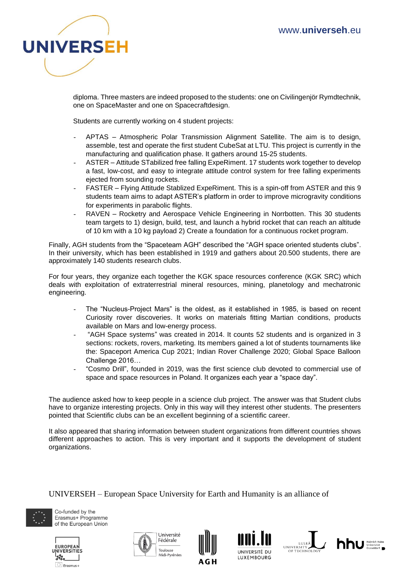

diploma. Three masters are indeed proposed to the students: one on Civilingenjör Rymdtechnik, one on SpaceMaster and one on Spacecraftdesign.

Students are currently working on 4 student projects:

- APTAS Atmospheric Polar Transmission Alignment Satellite. The aim is to design, assemble, test and operate the first student CubeSat at LTU. This project is currently in the manufacturing and qualification phase. It gathers around 15-25 students.
- ASTER Attitude STabilized free falling ExpeRiment. 17 students work together to develop a fast, low-cost, and easy to integrate attitude control system for free falling experiments ejected from sounding rockets.
- FASTER Flying Attitude Stablized ExpeRiment. This is a spin-off from ASTER and this 9 students team aims to adapt ASTER's platform in order to improve microgravity conditions for experiments in parabolic flights.
- RAVEN Rocketry and Aerospace Vehicle Engineering in Norrbotten. This 30 students team targets to 1) design, build, test, and launch a hybrid rocket that can reach an altitude of 10 km with a 10 kg payload 2) Create a foundation for a continuous rocket program.

Finally, AGH students from the "Spaceteam AGH" described the "AGH space oriented students clubs". In their university, which has been established in 1919 and gathers about 20.500 students, there are approximately 140 students research clubs.

For four years, they organize each together the KGK space resources conference (KGK SRC) which deals with exploitation of extraterrestrial mineral resources, mining, planetology and mechatronic engineering.

- The "Nucleus-Project Mars" is the oldest, as it established in 1985, is based on recent Curiosity rover discoveries. It works on materials fitting Martian conditions, products available on Mars and low-energy process.
- "AGH Space systems" was created in 2014. It counts 52 students and is organized in 3 sections: rockets, rovers, marketing. Its members gained a lot of students tournaments like the: Spaceport America Cup 2021; Indian Rover Challenge 2020; Global Space Balloon Challenge 2016…
- "Cosmo Drill", founded in 2019, was the first science club devoted to commercial use of space and space resources in Poland. It organizes each year a "space day".

The audience asked how to keep people in a science club project. The answer was that Student clubs have to organize interesting projects. Only in this way will they interest other students. The presenters pointed that Scientific clubs can be an excellent beginning of a scientific career.

It also appeared that sharing information between student organizations from different countries shows different approaches to action. This is very important and it supports the development of student organizations.

UNIVERSEH – European Space University for Earth and Humanity is an alliance of













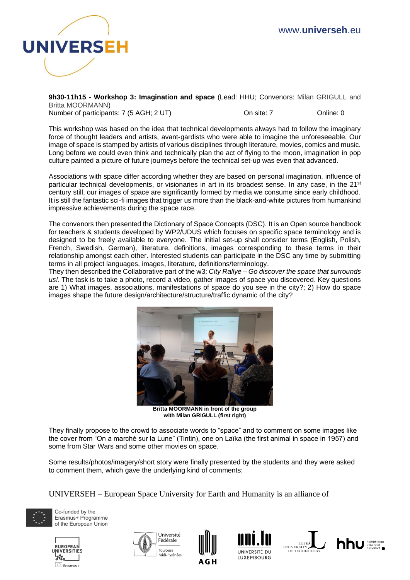

**9h30-11h15 - Workshop 3: Imagination and space** (Lead: HHU; Convenors: Milan GRIGULL and Britta MOORMANN) Number of participants: 7 (5 AGH; 2 UT) Consite: 7 Consite: 7 Online: 0

This workshop was based on the idea that technical developments always had to follow the imaginary force of thought leaders and artists, avant-gardists who were able to imagine the unforeseeable. Our image of space is stamped by artists of various disciplines through literature, movies, comics and music. Long before we could even think and technically plan the act of flying to the moon, imagination in pop culture painted a picture of future journeys before the technical set-up was even that advanced.

Associations with space differ according whether they are based on personal imagination, influence of particular technical developments, or visionaries in art in its broadest sense. In any case, in the 21<sup>st</sup> century still, our images of space are significantly formed by media we consume since early childhood. It is still the fantastic sci-fi images that trigger us more than the black-and-white pictures from humankind impressive achievements during the space race.

The convenors then presented the Dictionary of Space Concepts (DSC). It is an Open source handbook for teachers & students developed by WP2/UDUS which focuses on specific space terminology and is designed to be freely available to everyone. The initial set-up shall consider terms (English, Polish, French, Swedish, German), literature, definitions, images corresponding to these terms in their relationship amongst each other. Interested students can participate in the DSC any time by submitting terms in all project languages, images, literature, definitions/terminology.

They then described the Collaborative part of the w3: *City Rallye – Go discover the space that surrounds us!*. The task is to take a photo, record a video, gather images of space you discovered. Key questions are 1) What images, associations, manifestations of space do you see in the city?; 2) How do space images shape the future design/architecture/structure/traffic dynamic of the city?



**Britta MOORMANN in front of the group with Milan GRIGULL (first right)**

They finally propose to the crowd to associate words to "space" and to comment on some images like the cover from "On a marché sur la Lune" (Tintin), one on Laïka (the first animal in space in 1957) and some from Star Wars and some other movies on space.

Some results/photos/imagery/short story were finally presented by the students and they were asked to comment them, which gave the underlying kind of comments:

UNIVERSEH – European Space University for Earth and Humanity is an alliance of













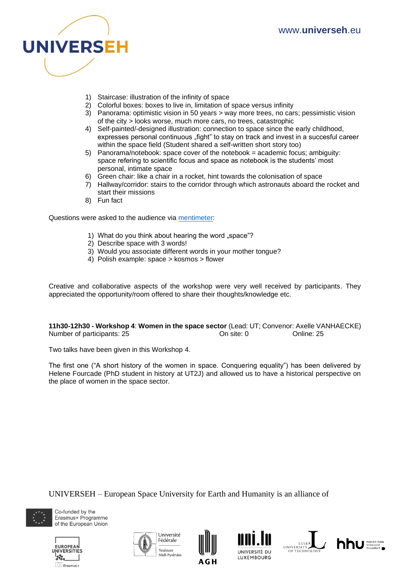

- 1) Staircase: illustration of the infinity of space
- 2) Colorful boxes: boxes to live in, limitation of space versus infinity
- 3) Panorama: optimistic vision in 50 years > way more trees, no cars; pessimistic vision of the city > looks worse, much more cars, no trees, catastrophic
- 4) Self-painted/-designed illustration: connection to space since the early childhood, expresses personal continuous "fight" to stay on track and invest in a succesful career within the space field (Student shared a self-written short story too)
- 5) Panorama/notebook: space cover of the notebook = academic focus; ambiguity: space refering to scientific focus and space as notebook is the students' most personal, intimate space
- 6) Green chair: like a chair in a rocket, hint towards the colonisation of space
- 7) Hallway/corridor: stairs to the corridor through which astronauts aboard the rocket and start their missions
- 8) Fun fact

Questions were asked to the audience via [mentimeter:](https://www.mentimeter.com/)

- 1) What do you think about hearing the word "space"?
- 2) Describe space with 3 words!
- 3) Would you associate different words in your mother tongue?
- 4) Polish example: space > kosmos > flower

Creative and collaborative aspects of the workshop were very well received by participants. They appreciated the opportunity/room offered to share their thoughts/knowledge etc.

**11h30-12h30 - Workshop 4**: **Women in the space sector** (Lead: UT; Convenor: Axelle VANHAECKE) Number of participants: 25 On site: 0 Online: 25

Two talks have been given in this Workshop 4.

The first one ("A short history of the women in space. Conquering equality") has been delivered by Helene Fourcade (PhD student in history at UT2J) and allowed us to have a historical perspective on the place of women in the space sector.

UNIVERSEH – European Space University for Earth and Humanity is an alliance of











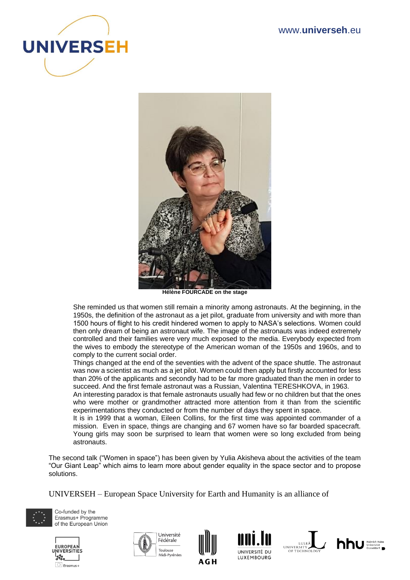



**Hélène FOURCADE on the stage**

She reminded us that women still remain a minority among astronauts. At the beginning, in the 1950s, the definition of the astronaut as a jet pilot, graduate from university and with more than 1500 hours of flight to his credit hindered women to apply to NASA's selections. Women could then only dream of being an astronaut wife. The image of the astronauts was indeed extremely controlled and their families were very much exposed to the media. Everybody expected from the wives to embody the stereotype of the American woman of the 1950s and 1960s, and to comply to the current social order.

Things changed at the end of the seventies with the advent of the space shuttle. The astronaut was now a scientist as much as a jet pilot. Women could then apply but firstly accounted for less than 20% of the applicants and secondly had to be far more graduated than the men in order to succeed. And the first female astronaut was a Russian, Valentina TERESHKOVA, in 1963.

An interesting paradox is that female astronauts usually had few or no children but that the ones who were mother or grandmother attracted more attention from it than from the scientific experimentations they conducted or from the number of days they spent in space.

It is in 1999 that a woman, Eileen Collins, for the first time was appointed commander of a mission. Even in space, things are changing and 67 women have so far boarded spacecraft. Young girls may soon be surprised to learn that women were so long excluded from being astronauts.

The second talk ("Women in space") has been given by Yulia Akisheva about the activities of the team "Our Giant Leap" which aims to learn more about gender equality in the space sector and to propose solutions.

UNIVERSEH – European Space University for Earth and Humanity is an alliance of













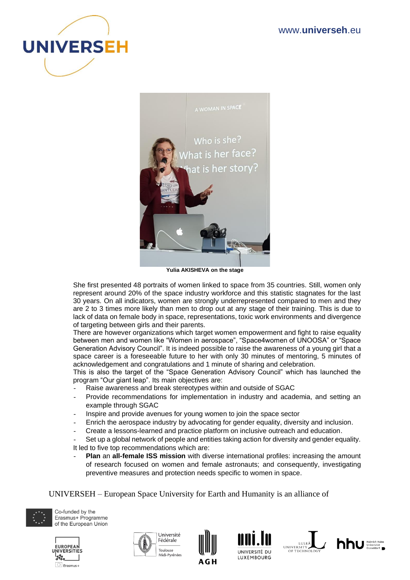



**Yulia AKISHEVA on the stage**

She first presented 48 portraits of women linked to space from 35 countries. Still, women only represent around 20% of the space industry workforce and this statistic stagnates for the last 30 years. On all indicators, women are strongly underrepresented compared to men and they are 2 to 3 times more likely than men to drop out at any stage of their training. This is due to lack of data on female body in space, representations, toxic work environments and divergence of targeting between girls and their parents.

There are however organizations which target women empowerment and fight to raise equality between men and women like "Women in aerospace", "Space4women of UNOOSA" or "Space Generation Advisory Council". It is indeed possible to raise the awareness of a young girl that a space career is a foreseeable future to her with only 30 minutes of mentoring, 5 minutes of acknowledgement and congratulations and 1 minute of sharing and celebration.

This is also the target of the "Space Generation Advisory Council" which has launched the program "Our giant leap". Its main objectives are:

- Raise awareness and break stereotypes within and outside of SGAC
- Provide recommendations for implementation in industry and academia, and setting an example through SGAC
- Inspire and provide avenues for young women to join the space sector
- Enrich the aerospace industry by advocating for gender equality, diversity and inclusion.
- Create a lessons-learned and practice platform on inclusive outreach and education.

Set up a global network of people and entities taking action for diversity and gender equality. It led to five top recommendations which are:

- **Plan** an **all-female ISS mission** with diverse international profiles: increasing the amount of research focused on women and female astronauts; and consequently, investigating preventive measures and protection needs specific to women in space.

UNIVERSEH – European Space University for Earth and Humanity is an alliance of













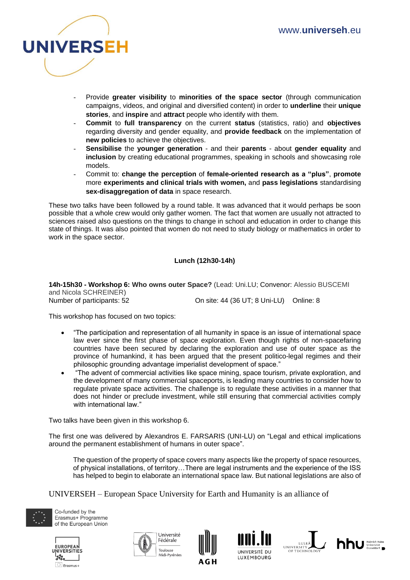

- Provide **greater visibility** to **minorities of the space sector** (through communication campaigns, videos, and original and diversified content) in order to **underline** their **unique stories**, and **inspire** and **attract** people who identify with them.
- **Commit** to **full transparency** on the current **status** (statistics, ratio) and **objectives** regarding diversity and gender equality, and **provide feedback** on the implementation of **new policies** to achieve the objectives.
- **Sensibilise** the **younger generation** and their **parents**  about **gender equality** and **inclusion** by creating educational programmes, speaking in schools and showcasing role models.
- Commit to: **change the perception** of **female-oriented research as a "plus"**, **promote** more **experiments and clinical trials with women,** and **pass legislations** standardising **sex-disaggregation of data** in space research.

These two talks have been followed by a round table. It was advanced that it would perhaps be soon possible that a whole crew would only gather women. The fact that women are usually not attracted to sciences raised also questions on the things to change in school and education in order to change this state of things. It was also pointed that women do not need to study biology or mathematics in order to work in the space sector.

## **Lunch (12h30-14h)**

**14h-15h30 - Workshop 6: Who owns outer Space?** (Lead: Uni.LU; Convenor: Alessio BUSCEMI and Nicola SCHREINER) Number of participants: 52 On site: 44 (36 UT; 8 Uni-LU) Online: 8

This workshop has focused on two topics:

- "The participation and representation of all humanity in space is an issue of international space law ever since the first phase of space exploration. Even though rights of non-spacefaring countries have been secured by declaring the exploration and use of outer space as the province of humankind, it has been argued that the present politico-legal regimes and their philosophic grounding advantage imperialist development of space."
- "The advent of commercial activities like space mining, space tourism, private exploration, and the development of many commercial spaceports, is leading many countries to consider how to regulate private space activities. The challenge is to regulate these activities in a manner that does not hinder or preclude investment, while still ensuring that commercial activities comply with international law."

Two talks have been given in this workshop 6.

The first one was delivered by Alexandros E. FARSARIS (UNI-LU) on "Legal and ethical implications around the permanent establishment of humans in outer space".

The question of the property of space covers many aspects like the property of space resources, of physical installations, of territory…There are legal instruments and the experience of the ISS has helped to begin to elaborate an international space law. But national legislations are also of

UNIVERSEH – European Space University for Earth and Humanity is an alliance of













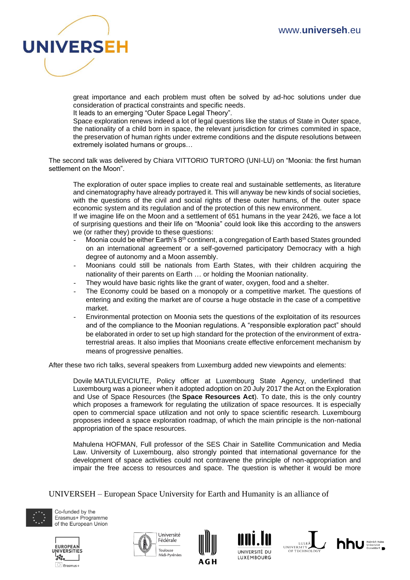

great importance and each problem must often be solved by ad-hoc solutions under due consideration of practical constraints and specific needs.

It leads to an emerging "Outer Space Legal Theory".

Space exploration renews indeed a lot of legal questions like the status of State in Outer space, the nationality of a child born in space, the relevant jurisdiction for crimes commited in space, the preservation of human rights under extreme conditions and the dispute resolutions between extremely isolated humans or groups…

The second talk was delivered by Chiara VITTORIO TURTORO (UNI-LU) on "Moonia: the first human settlement on the Moon".

The exploration of outer space implies to create real and sustainable settlements, as literature and cinematography have already portrayed it. This will anyway be new kinds of social societies, with the questions of the civil and social rights of these outer humans, of the outer space economic system and its regulation and of the protection of this new environment.

If we imagine life on the Moon and a settlement of 651 humans in the year 2426, we face a lot of surprising questions and their life on "Moonia" could look like this according to the answers we (or rather they) provide to these questions:

- Moonia could be either Earth's  $8<sup>th</sup>$  continent, a congregation of Earth based States grounded on an international agreement or a self-governed participatory Democracy with a high degree of autonomy and a Moon assembly.
- Moonians could still be nationals from Earth States, with their children acquiring the nationality of their parents on Earth … or holding the Moonian nationality.
- They would have basic rights like the grant of water, oxygen, food and a shelter.
- The Economy could be based on a monopoly or a competitive market. The questions of entering and exiting the market are of course a huge obstacle in the case of a competitive market.
- Environmental protection on Moonia sets the questions of the exploitation of its resources and of the compliance to the Moonian regulations. A "responsible exploration pact" should be elaborated in order to set up high standard for the protection of the environment of extraterrestrial areas. It also implies that Moonians create effective enforcement mechanism by means of progressive penalties.

After these two rich talks, several speakers from Luxemburg added new viewpoints and elements:

Dovile MATULEVICIUTE, Policy officer at Luxembourg State Agency, underlined that Luxembourg was a pioneer when it adopted adoption on 20 July 2017 the Act on the Exploration and Use of Space Resources (the **Space Resources Act**). To date, this is the only country which proposes a framework for regulating the utilization of space resources. It is especially open to commercial space utilization and not only to space scientific research. Luxembourg proposes indeed a space exploration roadmap, of which the main principle is the non-national appropriation of the space resources.

Mahulena HOFMAN, Full professor of the SES Chair in Satellite Communication and Media Law. University of Luxembourg, also strongly pointed that international governance for the development of space activities could not contravene the principle of non-appropriation and impair the free access to resources and space. The question is whether it would be more

UNIVERSEH – European Space University for Earth and Humanity is an alliance of













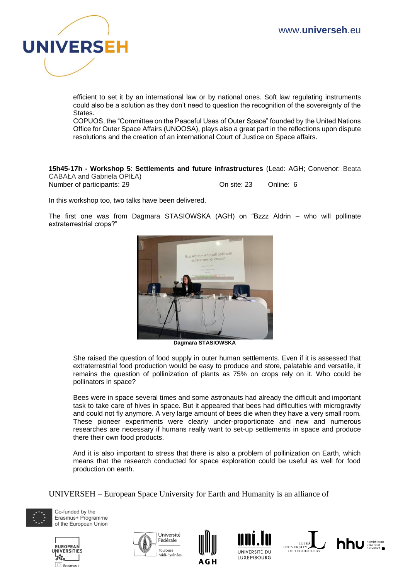

efficient to set it by an international law or by national ones. Soft law regulating instruments could also be a solution as they don't need to question the recognition of the sovereignty of the States.

COPUOS, the "Committee on the Peaceful Uses of Outer Space" founded by the United Nations Office for Outer Space Affairs (UNOOSA), plays also a great part in the reflections upon dispute resolutions and the creation of an international Court of Justice on Space affairs.

**15h45-17h - Workshop 5**: **Settlements and future infrastructures** (Lead: AGH; Convenor: Beata CABAŁA and Gabriela OPIŁA)

Number of participants: 29 On site: 23 Online: 6

In this workshop too, two talks have been delivered.

The first one was from Dagmara STASIOWSKA (AGH) on "Bzzz Aldrin – who will pollinate extraterrestrial crops?"



**Dagmara STASIOWSKA**

She raised the question of food supply in outer human settlements. Even if it is assessed that extraterrestrial food production would be easy to produce and store, palatable and versatile, it remains the question of pollinization of plants as 75% on crops rely on it. Who could be pollinators in space?

Bees were in space several times and some astronauts had already the difficult and important task to take care of hives in space. But it appeared that bees had difficulties with microgravity and could not fly anymore. A very large amount of bees die when they have a very small room. These pioneer experiments were clearly under-proportionate and new and numerous researches are necessary if humans really want to set-up settlements in space and produce there their own food products.

And it is also important to stress that there is also a problem of pollinization on Earth, which means that the research conducted for space exploration could be useful as well for food production on earth.

UNIVERSEH – European Space University for Earth and Humanity is an alliance of













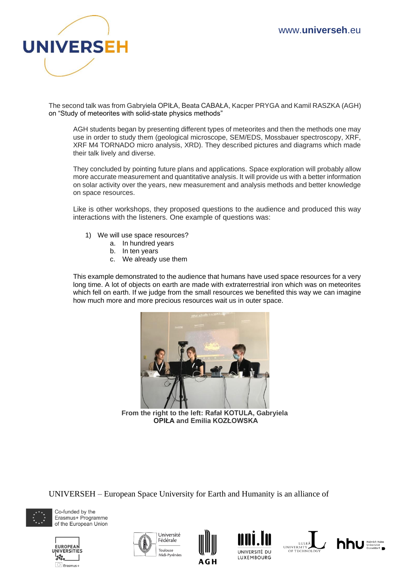

The second talk was from Gabryiela OPIŁA, Beata CABAŁA, Kacper PRYGA and Kamil RASZKA (AGH) on "Study of meteorites with solid-state physics methods"

AGH students began by presenting different types of meteorites and then the methods one may use in order to study them (geological microscope, SEM/EDS, Mossbauer spectroscopy, XRF, XRF M4 TORNADO micro analysis, XRD). They described pictures and diagrams which made their talk lively and diverse.

They concluded by pointing future plans and applications. Space exploration will probably allow more accurate measurement and quantitative analysis. It will provide us with a better information on solar activity over the years, new measurement and analysis methods and better knowledge on space resources.

Like is other workshops, they proposed questions to the audience and produced this way interactions with the listeners. One example of questions was:

- 1) We will use space resources?
	- a. In hundred years
	- b. In ten years
	- c. We already use them

This example demonstrated to the audience that humans have used space resources for a very long time. A lot of objects on earth are made with extraterrestrial iron which was on meteorites which fell on earth. If we judge from the small resources we benefited this way we can imagine how much more and more precious resources wait us in outer space.



**From the right to the left: Rafał KOTULA, Gabryiela OPIŁA and Emilia KOZŁOWSKA**

UNIVERSEH – European Space University for Earth and Humanity is an alliance of













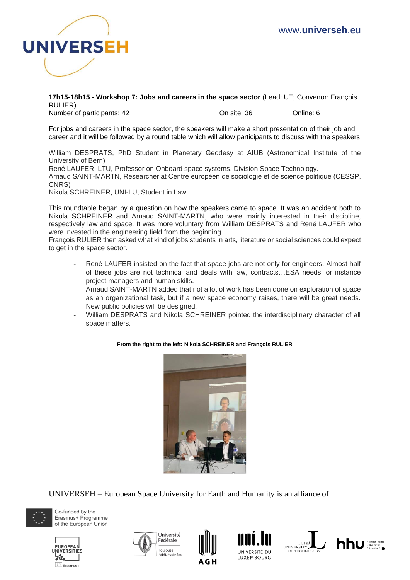

**17h15-18h15 - Workshop 7: Jobs and careers in the space sector** (Lead: UT; Convenor: François RULIER)

Number of participants: 42 On site: 36 Online: 6

For jobs and careers in the space sector, the speakers will make a short presentation of their job and career and it will be followed by a round table which will allow participants to discuss with the speakers

William DESPRATS, PhD Student in Planetary Geodesy at AIUB (Astronomical Institute of the University of Bern)

René LAUFER, LTU, Professor on [Onboard space systems,](https://www.ltu.se/research/subjects/Rymdtekniska-system?l=en) Division Space Technology.

Arnaud SAINT-MARTN, Researcher at Centre européen de sociologie et de science politique (CESSP, CNRS)

Nikola SCHREINER, UNI-LU, Student in Law

This roundtable began by a question on how the speakers came to space. It was an accident both to Nikola SCHREINER and Arnaud SAINT-MARTN, who were mainly interested in their discipline, respectively law and space. It was more voluntary from William DESPRATS and René LAUFER who were invested in the engineering field from the beginning.

François RULIER then asked what kind of jobs students in arts, literature or social sciences could expect to get in the space sector.

- René LAUFER insisted on the fact that space jobs are not only for engineers. Almost half of these jobs are not technical and deals with law, contracts…ESA needs for instance project managers and human skills.
- Arnaud SAINT-MARTN added that not a lot of work has been done on exploration of space as an organizational task, but if a new space economy raises, there will be great needs. New public policies will be designed.
- William DESPRATS and Nikola SCHREINER pointed the interdisciplinary character of all space matters.



#### **From the right to the left: Nikola SCHREINER and François RULIER**

UNIVERSEH – European Space University for Earth and Humanity is an alliance of











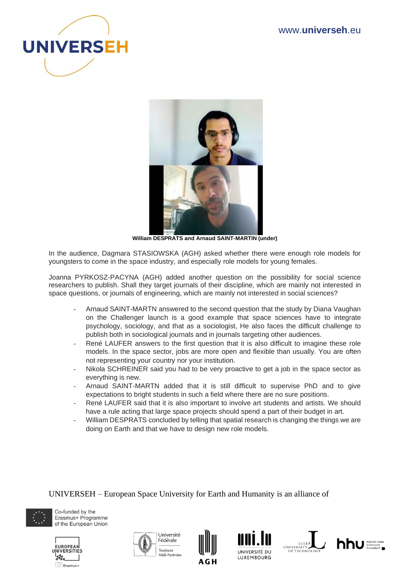



**William DESPRATS and Arnaud SAINT-MARTIN (under)**

In the audience, Dagmara STASIOWSKA (AGH) asked whether there were enough role models for youngsters to come in the space industry, and especially role models for young females.

Joanna PYRKOSZ-PACYNA (AGH) added another question on the possibility for social science researchers to publish. Shall they target journals of their discipline, which are mainly not interested in space questions, or journals of engineering, which are mainly not interested in social sciences?

- Arnaud SAINT-MARTN answered to the second question that the study by Diana Vaughan on the Challenger launch is a good example that space sciences have to integrate psychology, sociology, and that as a sociologist, He also faces the difficult challenge to publish both in sociological journals and in journals targeting other audiences.
- René LAUFER answers to the first question that it is also difficult to imagine these role models. In the space sector, jobs are more open and flexible than usually. You are often not representing your country nor your institution.
- Nikola SCHREINER said you had to be very proactive to get a job in the space sector as everything is new.
- Arnaud SAINT-MARTN added that it is still difficult to supervise PhD and to give expectations to bright students in such a field where there are no sure positions.
- René LAUFER said that it is also important to involve art students and artists. We should have a rule acting that large space projects should spend a part of their budget in art.
- William DESPRATS concluded by telling that spatial research is changing the things we are doing on Earth and that we have to design new role models.

UNIVERSEH – European Space University for Earth and Humanity is an alliance of













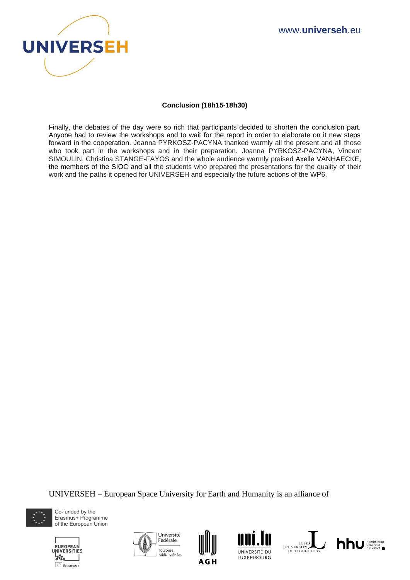

## **Conclusion (18h15-18h30)**

Finally, the debates of the day were so rich that participants decided to shorten the conclusion part. Anyone had to review the workshops and to wait for the report in order to elaborate on it new steps forward in the cooperation. Joanna PYRKOSZ-PACYNA thanked warmly all the present and all those who took part in the workshops and in their preparation. Joanna PYRKOSZ-PACYNA, Vincent SIMOULIN, Christina STANGE-FAYOS and the whole audience warmly praised Axelle VANHAECKE, the members of the SIOC and all the students who prepared the presentations for the quality of their work and the paths it opened for UNIVERSEH and especially the future actions of the WP6.

UNIVERSEH – European Space University for Earth and Humanity is an alliance of











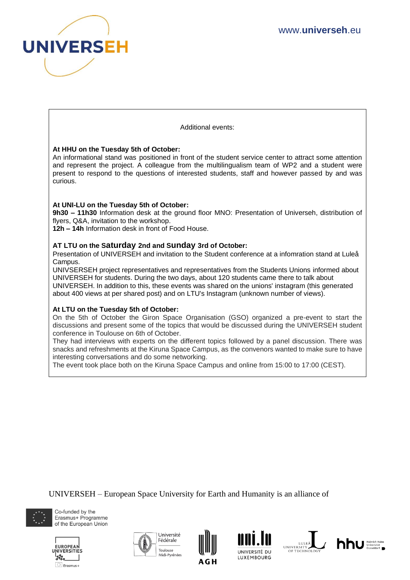

Additional events:

## **At HHU on the Tuesday 5th of October:**

An informational stand was positioned in front of the student service center to attract some attention and represent the project. A colleague from the multilingualism team of WP2 and a student were present to respond to the questions of interested students, staff and however passed by and was curious.

## **At UNI-LU on the Tuesday 5th of October:**

**9h30 – 11h30** Information desk at the ground floor MNO: Presentation of Universeh, distribution of flyers, Q&A, invitation to the workshop.

**12h – 14h** Information desk in front of Food House.

## **AT LTU on the Saturday 2nd and Sunday 3rd of October:**

Presentation of UNIVERSEH and invitation to the Student conference at a infomration stand at Luleå Campus.

UNIVSERSEH project representatives and representatives from the Students Unions informed about UNIVERSEH for students. During the two days, about 120 students came there to talk about UNIVERSEH. In addition to this, these events was shared on the unions' instagram (this generated about 400 views at per shared post) and on LTU's Instagram (unknown number of views).

#### **At LTU on the Tuesday 5th of October:**

On the 5th of October the Giron Space Organisation (GSO) organized a pre-event to start the discussions and present some of the topics that would be discussed during the UNIVERSEH student conference in Toulouse on 6th of October.

They had interviews with experts on the different topics followed by a panel discussion. There was snacks and refreshments at the Kiruna Space Campus, as the convenors wanted to make sure to have interesting conversations and do some networking.

The event took place both on the Kiruna Space Campus and online from 15:00 to 17:00 (CEST).

UNIVERSEH – European Space University for Earth and Humanity is an alliance of